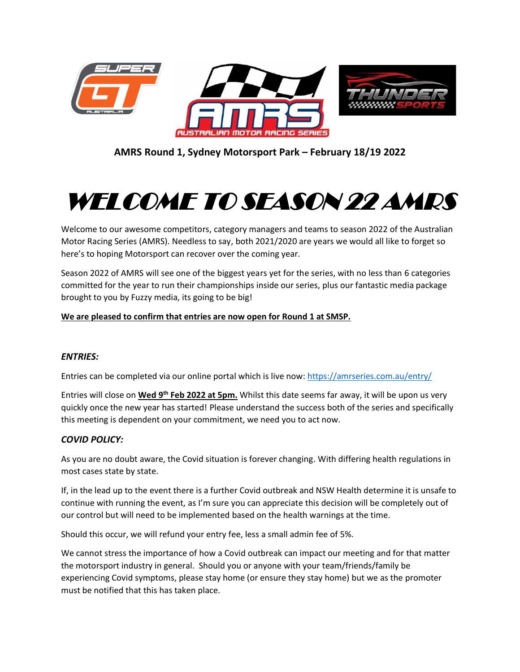

**AMRS Round 1, Sydney Motorsport Park – February 18/19 2022**

# WELCOME TO SEASON 22 AMRS

Welcome to our awesome competitors, category managers and teams to season 2022 of the Australian Motor Racing Series (AMRS). Needless to say, both 2021/2020 are years we would all like to forget so here's to hoping Motorsport can recover over the coming year.

Season 2022 of AMRS will see one of the biggest years yet for the series, with no less than 6 categories committed for the year to run their championships inside our series, plus our fantastic media package brought to you by Fuzzy media, its going to be big!

## **We are pleased to confirm that entries are now open for Round 1 at SMSP.**

### *ENTRIES:*

Entries can be completed via our online portal which is live now:<https://amrseries.com.au/entry/>

Entries will close on **Wed 9 th Feb 2022 at 5pm.** Whilst this date seems far away, it will be upon us very quickly once the new year has started! Please understand the success both of the series and specifically this meeting is dependent on your commitment, we need you to act now.

### *COVID POLICY:*

As you are no doubt aware, the Covid situation is forever changing. With differing health regulations in most cases state by state.

If, in the lead up to the event there is a further Covid outbreak and NSW Health determine it is unsafe to continue with running the event, as I'm sure you can appreciate this decision will be completely out of our control but will need to be implemented based on the health warnings at the time.

Should this occur, we will refund your entry fee, less a small admin fee of 5%.

We cannot stress the importance of how a Covid outbreak can impact our meeting and for that matter the motorsport industry in general. Should you or anyone with your team/friends/family be experiencing Covid symptoms, please stay home (or ensure they stay home) but we as the promoter must be notified that this has taken place.